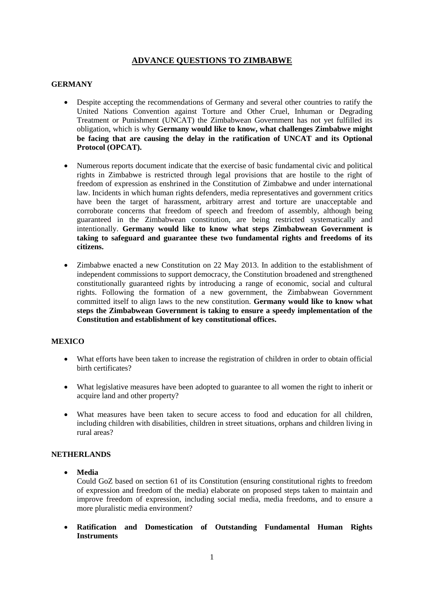# **ADVANCE QUESTIONS TO ZIMBABWE**

## **GERMANY**

- Despite accepting the recommendations of Germany and several other countries to ratify the United Nations Convention against Torture and Other Cruel, Inhuman or Degrading Treatment or Punishment (UNCAT) the Zimbabwean Government has not yet fulfilled its obligation, which is why **Germany would like to know, what challenges Zimbabwe might be facing that are causing the delay in the ratification of UNCAT and its Optional Protocol (OPCAT).**
- Numerous reports document indicate that the exercise of basic fundamental civic and political rights in Zimbabwe is restricted through legal provisions that are hostile to the right of freedom of expression as enshrined in the Constitution of Zimbabwe and under international law. Incidents in which human rights defenders, media representatives and government critics have been the target of harassment, arbitrary arrest and torture are unacceptable and corroborate concerns that freedom of speech and freedom of assembly, although being guaranteed in the Zimbabwean constitution, are being restricted systematically and intentionally. **Germany would like to know what steps Zimbabwean Government is taking to safeguard and guarantee these two fundamental rights and freedoms of its citizens.**
- Zimbabwe enacted a new Constitution on 22 May 2013. In addition to the establishment of independent commissions to support democracy, the Constitution broadened and strengthened constitutionally guaranteed rights by introducing a range of economic, social and cultural rights. Following the formation of a new government, the Zimbabwean Government committed itself to align laws to the new constitution. **Germany would like to know what steps the Zimbabwean Government is taking to ensure a speedy implementation of the Constitution and establishment of key constitutional offices.**

#### **MEXICO**

- What efforts have been taken to increase the registration of children in order to obtain official birth certificates?
- What legislative measures have been adopted to guarantee to all women the right to inherit or acquire land and other property?
- What measures have been taken to secure access to food and education for all children, including children with disabilities, children in street situations, orphans and children living in rural areas?

#### **NETHERLANDS**

**Media**

Could GoZ based on section 61 of its Constitution (ensuring constitutional rights to freedom of expression and freedom of the media) elaborate on proposed steps taken to maintain and improve freedom of expression, including social media, media freedoms, and to ensure a more pluralistic media environment?

 **Ratification and Domestication of Outstanding Fundamental Human Rights Instruments**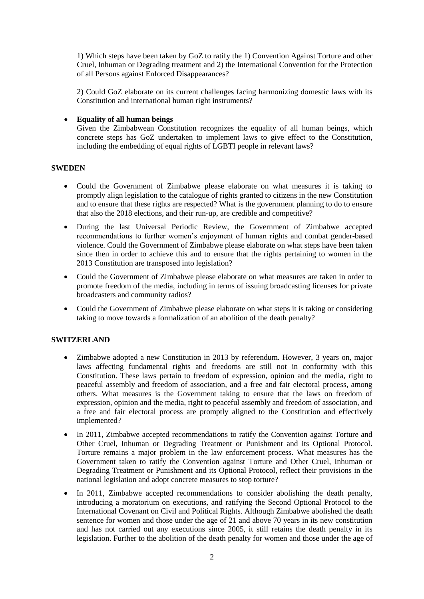1) Which steps have been taken by GoZ to ratify the 1) Convention Against Torture and other Cruel, Inhuman or Degrading treatment and 2) the International Convention for the Protection of all Persons against Enforced Disappearances?

2) Could GoZ elaborate on its current challenges facing harmonizing domestic laws with its Constitution and international human right instruments?

### **Equality of all human beings**

Given the Zimbabwean Constitution recognizes the equality of all human beings, which concrete steps has GoZ undertaken to implement laws to give effect to the Constitution, including the embedding of equal rights of LGBTI people in relevant laws?

## **SWEDEN**

- Could the Government of Zimbabwe please elaborate on what measures it is taking to promptly align legislation to the catalogue of rights granted to citizens in the new Constitution and to ensure that these rights are respected? What is the government planning to do to ensure that also the 2018 elections, and their run-up, are credible and competitive?
- During the last Universal Periodic Review, the Government of Zimbabwe accepted recommendations to further women's enjoyment of human rights and combat gender-based violence. Could the Government of Zimbabwe please elaborate on what steps have been taken since then in order to achieve this and to ensure that the rights pertaining to women in the 2013 Constitution are transposed into legislation?
- Could the Government of Zimbabwe please elaborate on what measures are taken in order to promote freedom of the media, including in terms of issuing broadcasting licenses for private broadcasters and community radios?
- Could the Government of Zimbabwe please elaborate on what steps it is taking or considering taking to move towards a formalization of an abolition of the death penalty?

#### **SWITZERLAND**

- Zimbabwe adopted a new Constitution in 2013 by referendum. However, 3 years on, major laws affecting fundamental rights and freedoms are still not in conformity with this Constitution. These laws pertain to freedom of expression, opinion and the media, right to peaceful assembly and freedom of association, and a free and fair electoral process, among others. What measures is the Government taking to ensure that the laws on freedom of expression, opinion and the media, right to peaceful assembly and freedom of association, and a free and fair electoral process are promptly aligned to the Constitution and effectively implemented?
- In 2011, Zimbabwe accepted recommendations to ratify the Convention against Torture and Other Cruel, Inhuman or Degrading Treatment or Punishment and its Optional Protocol. Torture remains a major problem in the law enforcement process. What measures has the Government taken to ratify the Convention against Torture and Other Cruel, Inhuman or Degrading Treatment or Punishment and its Optional Protocol, reflect their provisions in the national legislation and adopt concrete measures to stop torture?
- In 2011, Zimbabwe accepted recommendations to consider abolishing the death penalty, introducing a moratorium on executions, and ratifying the Second Optional Protocol to the International Covenant on Civil and Political Rights. Although Zimbabwe abolished the death sentence for women and those under the age of 21 and above 70 years in its new constitution and has not carried out any executions since 2005, it still retains the death penalty in its legislation. Further to the abolition of the death penalty for women and those under the age of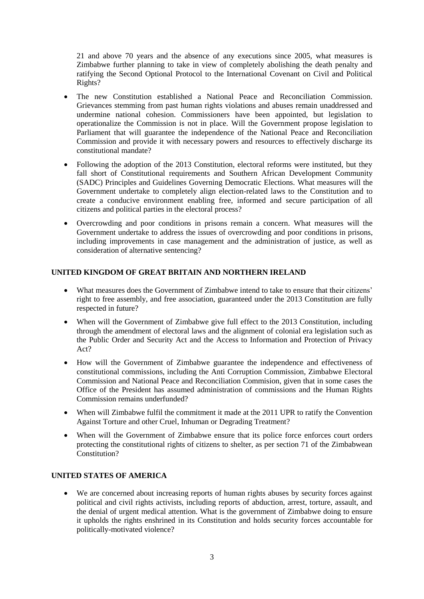21 and above 70 years and the absence of any executions since 2005, what measures is Zimbabwe further planning to take in view of completely abolishing the death penalty and ratifying the Second Optional Protocol to the International Covenant on Civil and Political Rights?

- The new Constitution established a National Peace and Reconciliation Commission. Grievances stemming from past human rights violations and abuses remain unaddressed and undermine national cohesion. Commissioners have been appointed, but legislation to operationalize the Commission is not in place. Will the Government propose legislation to Parliament that will guarantee the independence of the National Peace and Reconciliation Commission and provide it with necessary powers and resources to effectively discharge its constitutional mandate?
- Following the adoption of the 2013 Constitution, electoral reforms were instituted, but they fall short of Constitutional requirements and Southern African Development Community (SADC) Principles and Guidelines Governing Democratic Elections. What measures will the Government undertake to completely align election-related laws to the Constitution and to create a conducive environment enabling free, informed and secure participation of all citizens and political parties in the electoral process?
- Overcrowding and poor conditions in prisons remain a concern. What measures will the Government undertake to address the issues of overcrowding and poor conditions in prisons, including improvements in case management and the administration of justice, as well as consideration of alternative sentencing?

# **UNITED KINGDOM OF GREAT BRITAIN AND NORTHERN IRELAND**

- What measures does the Government of Zimbabwe intend to take to ensure that their citizens' right to free assembly, and free association, guaranteed under the 2013 Constitution are fully respected in future?
- When will the Government of Zimbabwe give full effect to the 2013 Constitution, including through the amendment of electoral laws and the alignment of colonial era legislation such as the Public Order and Security Act and the Access to Information and Protection of Privacy Act?
- How will the Government of Zimbabwe guarantee the independence and effectiveness of constitutional commissions, including the Anti Corruption Commission, Zimbabwe Electoral Commission and National Peace and Reconciliation Commision, given that in some cases the Office of the President has assumed administration of commissions and the Human Rights Commission remains underfunded?
- When will Zimbabwe fulfil the commitment it made at the 2011 UPR to ratify the Convention Against Torture and other Cruel, Inhuman or Degrading Treatment?
- When will the Government of Zimbabwe ensure that its police force enforces court orders protecting the constitutional rights of citizens to shelter, as per section 71 of the Zimbabwean Constitution?

# **UNITED STATES OF AMERICA**

We are concerned about increasing reports of human rights abuses by security forces against political and civil rights activists, including reports of abduction, arrest, torture, assault, and the denial of urgent medical attention. What is the government of Zimbabwe doing to ensure it upholds the rights enshrined in its Constitution and holds security forces accountable for politically-motivated violence?